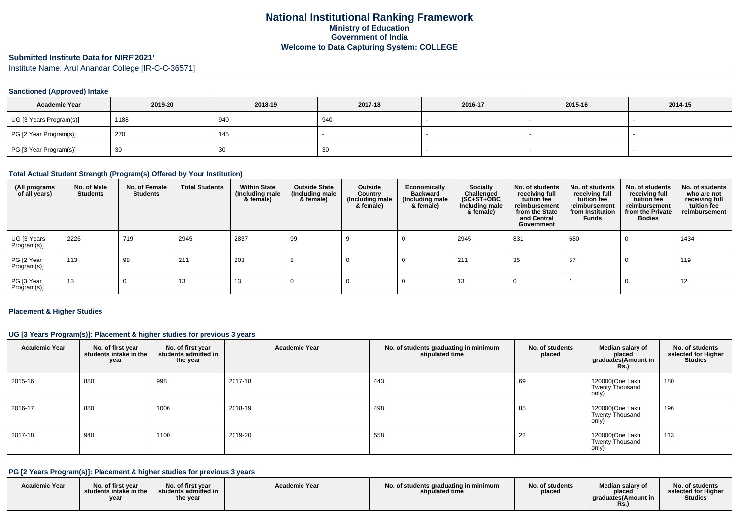# **Submitted Institute Data for NIRF'2021'**

Institute Name: Arul Anandar College [IR-C-C-36571]

#### **Sanctioned (Approved) Intake**

| <b>Academic Year</b>    | 2019-20 | 2018-19  | 2017-18 | 2016-17 | 2015-16 | 2014-15 |
|-------------------------|---------|----------|---------|---------|---------|---------|
| UG [3 Years Program(s)] | 1188    | 940      | 940     |         |         |         |
| PG [2 Year Program(s)]  | 270     | 145      |         |         |         |         |
| PG [3 Year Program(s)]  | 30      | 20<br>ບບ | 30      |         |         |         |

#### **Total Actual Student Strength (Program(s) Offered by Your Institution)**

| (All programs<br>of all years) | No. of Male<br><b>Students</b> | No. of Female<br><b>Students</b> | <b>Total Students</b> | <b>Within State</b><br>(Including male<br>& female) | <b>Outside State</b><br>(Including male<br>& female) | Outside<br>Country<br>(Including male<br>& female) | Economically<br><b>Backward</b><br>(Including male<br>& female) | <b>Socially</b><br>Challenged<br>$(SC+ST+\textcolor{blue}{\bullet}BC$<br>Including male<br>& female) | No. of students<br>receiving full<br>tuition fee<br>reimbursement<br>from the State<br>and Central<br>Government | No. of students<br>receiving full<br>tuition fee<br>reimbursement<br>from Institution<br>Funds | No. of students<br>receiving full<br>tuition fee<br>reimbursement<br>from the Private<br><b>Bodies</b> | No. of students<br>who are not<br>receiving full<br>tuition fee<br>reimbursement |
|--------------------------------|--------------------------------|----------------------------------|-----------------------|-----------------------------------------------------|------------------------------------------------------|----------------------------------------------------|-----------------------------------------------------------------|------------------------------------------------------------------------------------------------------|------------------------------------------------------------------------------------------------------------------|------------------------------------------------------------------------------------------------|--------------------------------------------------------------------------------------------------------|----------------------------------------------------------------------------------|
| UG [3 Years<br>Program(s)]     | 2226                           | 719                              | 2945                  | 2837                                                | 99                                                   |                                                    |                                                                 | 2945                                                                                                 | 831                                                                                                              | 680                                                                                            | 0                                                                                                      | 1434                                                                             |
| PG [2 Year<br>Program(s)]      | 113                            | 98                               | 211                   | 203                                                 |                                                      |                                                    |                                                                 | 211                                                                                                  | 35                                                                                                               | 57                                                                                             | - U                                                                                                    | 119                                                                              |
| PG [3 Year<br>Program(s)]      | 13                             | 0                                | 13                    | 13                                                  |                                                      |                                                    |                                                                 | 13                                                                                                   |                                                                                                                  |                                                                                                |                                                                                                        | 12                                                                               |

#### **Placement & Higher Studies**

#### **UG [3 Years Program(s)]: Placement & higher studies for previous 3 years**

| <b>Academic Year</b> | No. of first year<br>students intake in the<br>year | No. of first year<br>students admitted in<br>the year | <b>Academic Year</b> | No. of students graduating in minimum<br>stipulated time | No. of students<br>placed | Median salary of<br>placed<br>graduates(Amount in<br><b>Rs.)</b> | No. of students<br>selected for Higher<br><b>Studies</b> |
|----------------------|-----------------------------------------------------|-------------------------------------------------------|----------------------|----------------------------------------------------------|---------------------------|------------------------------------------------------------------|----------------------------------------------------------|
| 2015-16              | 880                                                 | 998                                                   | 2017-18              | 443                                                      | 69                        | 120000(One Lakh<br><b>Twenty Thousand</b><br>only)               | 180                                                      |
| 2016-17              | 880                                                 | 1006                                                  | 2018-19              | 498                                                      | 85                        | 120000(One Lakh<br><b>Twenty Thousand</b><br>only)               | 196                                                      |
| 2017-18              | 940                                                 | 1100                                                  | 2019-20              | 558                                                      | 22                        | 120000(One Lakh<br>Twenty Thousand<br>only)                      | 113                                                      |

#### **PG [2 Years Program(s)]: Placement & higher studies for previous 3 years**

| <b>Academic Year</b> | No. of first year<br>students intake in the<br>year | No. of first year<br>students admitted in<br>the year | <b>Academic Year</b> | No. of students graduating in minimum<br>stipulated time | No. of students<br>placed | Median salary of<br>placed<br>araduates (Amount in<br>Rs. | No. of students<br>selected for Higher<br><b>Studies</b> |
|----------------------|-----------------------------------------------------|-------------------------------------------------------|----------------------|----------------------------------------------------------|---------------------------|-----------------------------------------------------------|----------------------------------------------------------|
|----------------------|-----------------------------------------------------|-------------------------------------------------------|----------------------|----------------------------------------------------------|---------------------------|-----------------------------------------------------------|----------------------------------------------------------|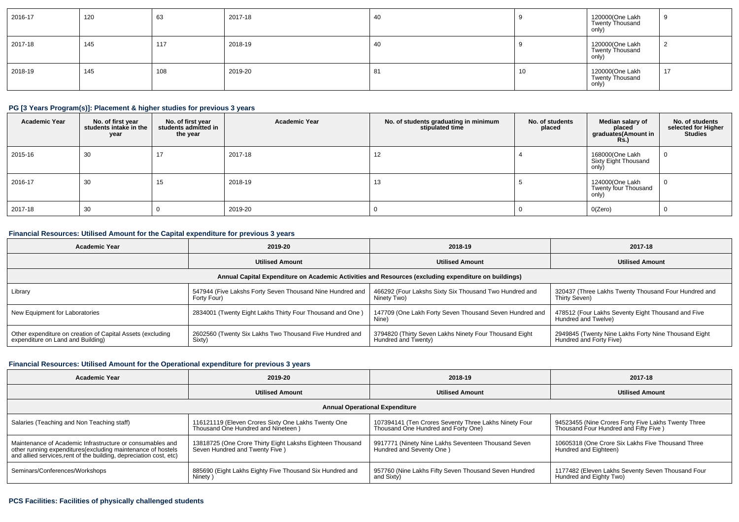| 2016-17 | 120 | 63  | 2017-18 | 40  |    | 120000(One Lakh<br>Twenty Thousand<br>only) | - 9 |
|---------|-----|-----|---------|-----|----|---------------------------------------------|-----|
| 2017-18 | 145 | 117 | 2018-19 | 40  |    | 120000(One Lakh<br>Twenty Thousand<br>only) | ∼   |
| 2018-19 | 145 | 108 | 2019-20 | -81 | 10 | 120000(One Lakh<br>Twenty Thousand<br>only) | 17  |

## **PG [3 Years Program(s)]: Placement & higher studies for previous 3 years**

| <b>Academic Year</b> | No. of first year<br>students intake in the<br>year | No. of first year<br>students admitted in<br>the year | <b>Academic Year</b> | No. of students graduating in minimum<br>stipulated time | No. of students<br>placed | Median salary of<br>placed<br>graduates(Amount in<br><b>Rs.)</b> | No. of students<br>selected for Higher<br><b>Studies</b> |
|----------------------|-----------------------------------------------------|-------------------------------------------------------|----------------------|----------------------------------------------------------|---------------------------|------------------------------------------------------------------|----------------------------------------------------------|
| 2015-16              | 30                                                  | 17                                                    | 2017-18              | 12                                                       |                           | 168000(One Lakh<br>Sixty Eight Thousand<br>only)                 | <b>U</b>                                                 |
| 2016-17              | 30                                                  | 15                                                    | 2018-19              | 13                                                       |                           | 124000(One Lakh<br>Twenty four Thousand<br>only)                 | -0                                                       |
| 2017-18              | 30                                                  |                                                       | 2019-20              |                                                          |                           | O(Zero)                                                          |                                                          |

### **Financial Resources: Utilised Amount for the Capital expenditure for previous 3 years**

| Academic Year                                                                                   | 2019-20                                                                  | 2018-19                                                                                              | 2017-18                                                                         |
|-------------------------------------------------------------------------------------------------|--------------------------------------------------------------------------|------------------------------------------------------------------------------------------------------|---------------------------------------------------------------------------------|
|                                                                                                 | <b>Utilised Amount</b>                                                   | <b>Utilised Amount</b>                                                                               | <b>Utilised Amount</b>                                                          |
|                                                                                                 |                                                                          | Annual Capital Expenditure on Academic Activities and Resources (excluding expenditure on buildings) |                                                                                 |
| Library                                                                                         | 547944 (Five Lakshs Forty Seven Thousand Nine Hundred and<br>Forty Four) | 466292 (Four Lakshs Sixty Six Thousand Two Hundred and<br>Ninety Two)                                | 320437 (Three Lakhs Twenty Thousand Four Hundred and<br>Thirty Seven)           |
| New Equipment for Laboratories                                                                  | 2834001 (Twenty Eight Lakhs Thirty Four Thousand and One)                | 147709 (One Lakh Forty Seven Thousand Seven Hundred and<br>Nine)                                     | 478512 (Four Lakhs Seventy Eight Thousand and Five<br>Hundred and Twelve)       |
| Other expenditure on creation of Capital Assets (excluding<br>expenditure on Land and Building) | 2602560 (Twenty Six Lakhs Two Thousand Five Hundred and<br>Sixty)        | 3794820 (Thirty Seven Lakhs Ninety Four Thousand Eight<br>Hundred and Twenty)                        | 2949845 (Twenty Nine Lakhs Forty Nine Thousand Eight<br>Hundred and Forty Five) |

## **Financial Resources: Utilised Amount for the Operational expenditure for previous 3 years**

| <b>Academic Year</b>                                                                                                              | 2019-20                                                   | 2018-19                                               | 2017-18                                             |  |  |  |  |  |  |  |
|-----------------------------------------------------------------------------------------------------------------------------------|-----------------------------------------------------------|-------------------------------------------------------|-----------------------------------------------------|--|--|--|--|--|--|--|
|                                                                                                                                   | <b>Utilised Amount</b>                                    | <b>Utilised Amount</b>                                | <b>Utilised Amount</b>                              |  |  |  |  |  |  |  |
| <b>Annual Operational Expenditure</b>                                                                                             |                                                           |                                                       |                                                     |  |  |  |  |  |  |  |
| Salaries (Teaching and Non Teaching staff)                                                                                        | 116121119 (Eleven Crores Sixty One Lakhs Twenty One       | 107394141 (Ten Crores Seventy Three Lakhs Ninety Four | 94523455 (Nine Crores Forty Five Lakhs Twenty Three |  |  |  |  |  |  |  |
|                                                                                                                                   | Thousand One Hundred and Nineteen)                        | Thousand One Hundred and Forty One)                   | Thousand Four Hundred and Fifty Five )              |  |  |  |  |  |  |  |
| Maintenance of Academic Infrastructure or consumables and                                                                         | 13818725 (One Crore Thirty Eight Lakshs Eighteen Thousand | 9917771 (Ninety Nine Lakhs Seventeen Thousand Seven   | 10605318 (One Crore Six Lakhs Five Thousand Three   |  |  |  |  |  |  |  |
| other running expenditures(excluding maintenance of hostels<br>and allied services, rent of the building, depreciation cost, etc) | Seven Hundred and Twenty Five )                           | Hundred and Seventy One)                              | Hundred and Eighteen)                               |  |  |  |  |  |  |  |
| Seminars/Conferences/Workshops                                                                                                    | 885690 (Eight Lakhs Eighty Five Thousand Six Hundred and  | 957760 (Nine Lakhs Fifty Seven Thousand Seven Hundred | 1177482 (Eleven Lakhs Seventy Seven Thousand Four   |  |  |  |  |  |  |  |
|                                                                                                                                   | Ninety)                                                   | and Sixty)                                            | Hundred and Eighty Two)                             |  |  |  |  |  |  |  |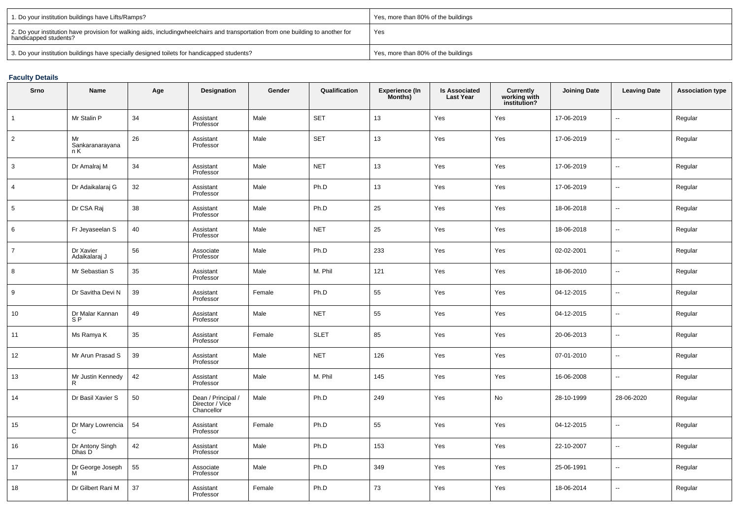| 1. Do your institution buildings have Lifts/Ramps?                                                                                                        | Yes, more than 80% of the buildings |
|-----------------------------------------------------------------------------------------------------------------------------------------------------------|-------------------------------------|
| 2. Do your institution have provision for walking aids, includingwheelchairs and transportation from one building to another for<br>handicapped students? | Yes                                 |
| 3. Do your institution buildings have specially designed toilets for handicapped students?                                                                | Yes, more than 80% of the buildings |

# **Faculty Details**

| Srno           | Name                              | Age | <b>Designation</b>                                  | Gender | Qualification | <b>Experience (In</b><br>Months) | <b>Is Associated</b><br><b>Last Year</b> | Currently<br>working with<br>institution? | <b>Joining Date</b> | <b>Leaving Date</b>      | <b>Association type</b> |
|----------------|-----------------------------------|-----|-----------------------------------------------------|--------|---------------|----------------------------------|------------------------------------------|-------------------------------------------|---------------------|--------------------------|-------------------------|
| $\mathbf{1}$   | Mr Stalin P                       | 34  | Assistant<br>Professor                              | Male   | <b>SET</b>    | 13                               | Yes                                      | Yes                                       | 17-06-2019          | Ξ.                       | Regular                 |
| $\overline{2}$ | Mr<br>Sankaranarayana<br>n K      | 26  | Assistant<br>Professor                              | Male   | <b>SET</b>    | 13                               | Yes                                      | Yes                                       | 17-06-2019          | Ξ.                       | Regular                 |
| 3              | Dr Amalraj M                      | 34  | Assistant<br>Professor                              | Male   | <b>NET</b>    | 13                               | Yes                                      | Yes                                       | 17-06-2019          | Ξ.                       | Regular                 |
| $\overline{4}$ | Dr Adaikalaraj G                  | 32  | Assistant<br>Professor                              | Male   | Ph.D          | 13                               | Yes                                      | Yes                                       | 17-06-2019          | Ξ.                       | Regular                 |
| 5              | Dr CSA Raj                        | 38  | Assistant<br>Professor                              | Male   | Ph.D          | 25                               | Yes                                      | Yes                                       | 18-06-2018          | ÷.                       | Regular                 |
| 6              | Fr Jeyaseelan S                   | 40  | Assistant<br>Professor                              | Male   | <b>NET</b>    | 25                               | Yes                                      | Yes                                       | 18-06-2018          | ÷,                       | Regular                 |
| $\overline{7}$ | Dr Xavier<br>Adaikalaraj J        | 56  | Associate<br>Professor                              | Male   | Ph.D          | 233                              | Yes                                      | Yes                                       | 02-02-2001          | ÷,                       | Regular                 |
| 8              | Mr Sebastian S                    | 35  | Assistant<br>Professor                              | Male   | M. Phil       | 121                              | Yes                                      | Yes                                       | 18-06-2010          | ÷,                       | Regular                 |
| 9              | Dr Savitha Devi N                 | 39  | Assistant<br>Professor                              | Female | Ph.D          | 55                               | Yes                                      | Yes                                       | 04-12-2015          | Ξ.                       | Regular                 |
| 10             | Dr Malar Kannan<br>S <sub>P</sub> | 49  | Assistant<br>Professor                              | Male   | <b>NET</b>    | 55                               | Yes                                      | Yes                                       | 04-12-2015          | $\overline{\phantom{a}}$ | Regular                 |
| 11             | Ms Ramya K                        | 35  | Assistant<br>Professor                              | Female | <b>SLET</b>   | 85                               | Yes                                      | Yes                                       | 20-06-2013          | Ξ.                       | Regular                 |
| 12             | Mr Arun Prasad S                  | 39  | Assistant<br>Professor                              | Male   | <b>NET</b>    | 126                              | Yes                                      | Yes                                       | 07-01-2010          | Ξ.                       | Regular                 |
| 13             | Mr Justin Kennedy<br>R            | 42  | Assistant<br>Professor                              | Male   | M. Phil       | 145                              | Yes                                      | Yes                                       | 16-06-2008          | Ξ.                       | Regular                 |
| 14             | Dr Basil Xavier S                 | 50  | Dean / Principal /<br>Director / Vice<br>Chancellor | Male   | Ph.D          | 249                              | Yes                                      | No                                        | 28-10-1999          | 28-06-2020               | Regular                 |
| 15             | Dr Mary Lowrencia<br>C            | 54  | Assistant<br>Professor                              | Female | Ph.D          | 55                               | Yes                                      | Yes                                       | 04-12-2015          | ÷,                       | Regular                 |
| 16             | Dr Antony Singh<br>Dhas D         | 42  | Assistant<br>Professor                              | Male   | Ph.D          | 153                              | Yes                                      | Yes                                       | 22-10-2007          | ÷,                       | Regular                 |
| 17             | Dr George Joseph<br>м             | 55  | Associate<br>Professor                              | Male   | Ph.D          | 349                              | Yes                                      | Yes                                       | 25-06-1991          | Ξ.                       | Regular                 |
| 18             | Dr Gilbert Rani M                 | 37  | Assistant<br>Professor                              | Female | Ph.D          | 73                               | Yes                                      | Yes                                       | 18-06-2014          | ÷.                       | Regular                 |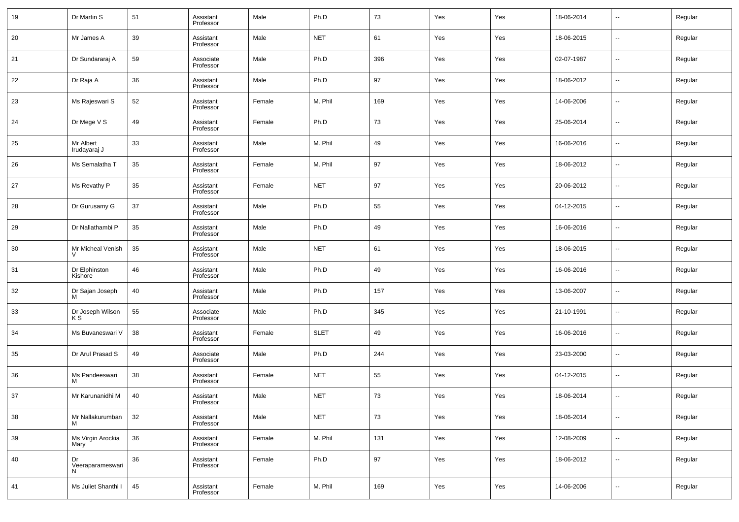| 19 | Dr Martin S                 | 51 | Assistant<br>Professor | Male   | Ph.D        | 73  | Yes | Yes | 18-06-2014 | --     | Regular |
|----|-----------------------------|----|------------------------|--------|-------------|-----|-----|-----|------------|--------|---------|
| 20 | Mr James A                  | 39 | Assistant<br>Professor | Male   | <b>NET</b>  | 61  | Yes | Yes | 18-06-2015 | --     | Regular |
| 21 | Dr Sundararaj A             | 59 | Associate<br>Professor | Male   | Ph.D        | 396 | Yes | Yes | 02-07-1987 | --     | Regular |
| 22 | Dr Raja A                   | 36 | Assistant<br>Professor | Male   | Ph.D        | 97  | Yes | Yes | 18-06-2012 | $\sim$ | Regular |
| 23 | Ms Rajeswari S              | 52 | Assistant<br>Professor | Female | M. Phil     | 169 | Yes | Yes | 14-06-2006 | --     | Regular |
| 24 | Dr Mege V S                 | 49 | Assistant<br>Professor | Female | Ph.D        | 73  | Yes | Yes | 25-06-2014 | $\sim$ | Regular |
| 25 | Mr Albert<br>Irudayaraj J   | 33 | Assistant<br>Professor | Male   | M. Phil     | 49  | Yes | Yes | 16-06-2016 | --     | Regular |
| 26 | Ms Semalatha T              | 35 | Assistant<br>Professor | Female | M. Phil     | 97  | Yes | Yes | 18-06-2012 | $\sim$ | Regular |
| 27 | Ms Revathy P                | 35 | Assistant<br>Professor | Female | <b>NET</b>  | 97  | Yes | Yes | 20-06-2012 | --     | Regular |
| 28 | Dr Gurusamy G               | 37 | Assistant<br>Professor | Male   | Ph.D        | 55  | Yes | Yes | 04-12-2015 | $\sim$ | Regular |
| 29 | Dr Nallathambi P            | 35 | Assistant<br>Professor | Male   | Ph.D        | 49  | Yes | Yes | 16-06-2016 | --     | Regular |
| 30 | Mr Micheal Venish           | 35 | Assistant<br>Professor | Male   | <b>NET</b>  | 61  | Yes | Yes | 18-06-2015 | --     | Regular |
| 31 | Dr Elphinston<br>Kishore    | 46 | Assistant<br>Professor | Male   | Ph.D        | 49  | Yes | Yes | 16-06-2016 | --     | Regular |
| 32 | Dr Sajan Joseph<br>м        | 40 | Assistant<br>Professor | Male   | Ph.D        | 157 | Yes | Yes | 13-06-2007 | --     | Regular |
| 33 | Dr Joseph Wilson<br>K S     | 55 | Associate<br>Professor | Male   | Ph.D        | 345 | Yes | Yes | 21-10-1991 | --     | Regular |
| 34 | Ms Buvaneswari V            | 38 | Assistant<br>Professor | Female | <b>SLET</b> | 49  | Yes | Yes | 16-06-2016 | --     | Regular |
| 35 | Dr Arul Prasad S            | 49 | Associate<br>Professor | Male   | Ph.D        | 244 | Yes | Yes | 23-03-2000 | --     | Regular |
| 36 | Ms Pandeeswari<br>м         | 38 | Assistant<br>Professor | Female | <b>NET</b>  | 55  | Yes | Yes | 04-12-2015 | --     | Regular |
| 37 | Mr Karunanidhi M            | 40 | Assistant<br>Professor | Male   | <b>NET</b>  | 73  | Yes | Yes | 18-06-2014 | --     | Regular |
| 38 | Mr Nallakurumban<br>м       | 32 | Assistant<br>Professor | Male   | <b>NET</b>  | 73  | Yes | Yes | 18-06-2014 | $\sim$ | Regular |
| 39 | Ms Virgin Arockia<br>Mary   | 36 | Assistant<br>Professor | Female | M. Phil     | 131 | Yes | Yes | 12-08-2009 | $\sim$ | Regular |
| 40 | Dr<br>Veeraparameswari<br>Ν | 36 | Assistant<br>Professor | Female | Ph.D        | 97  | Yes | Yes | 18-06-2012 | $\sim$ | Regular |
| 41 | Ms Juliet Shanthi I         | 45 | Assistant<br>Professor | Female | M. Phil     | 169 | Yes | Yes | 14-06-2006 | н.     | Regular |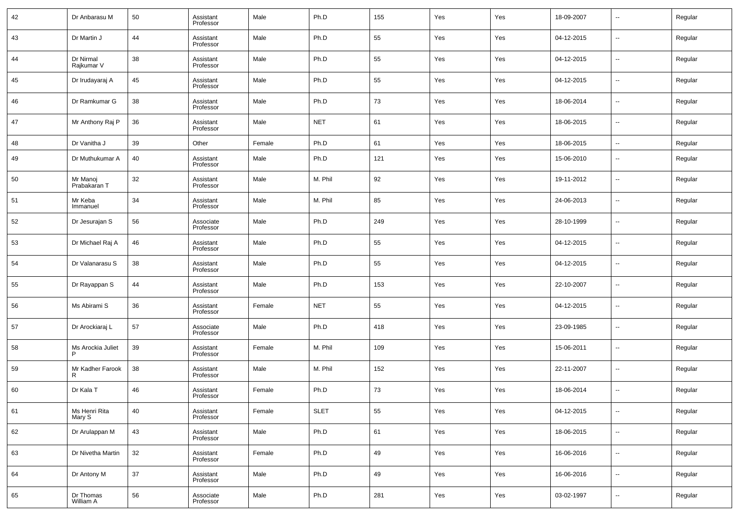| 42 | Dr Anbarasu M            | 50 | Assistant<br>Professor | Male   | Ph.D        | 155 | Yes | Yes | 18-09-2007 | $\overline{\phantom{a}}$ | Regular |
|----|--------------------------|----|------------------------|--------|-------------|-----|-----|-----|------------|--------------------------|---------|
| 43 | Dr Martin J              | 44 | Assistant<br>Professor | Male   | Ph.D        | 55  | Yes | Yes | 04-12-2015 | $\overline{\phantom{a}}$ | Regular |
| 44 | Dr Nirmal<br>Rajkumar V  | 38 | Assistant<br>Professor | Male   | Ph.D        | 55  | Yes | Yes | 04-12-2015 | $\overline{\phantom{a}}$ | Regular |
| 45 | Dr Irudayaraj A          | 45 | Assistant<br>Professor | Male   | Ph.D        | 55  | Yes | Yes | 04-12-2015 | $\overline{\phantom{a}}$ | Regular |
| 46 | Dr Ramkumar G            | 38 | Assistant<br>Professor | Male   | Ph.D        | 73  | Yes | Yes | 18-06-2014 | $\overline{\phantom{a}}$ | Regular |
| 47 | Mr Anthony Raj P         | 36 | Assistant<br>Professor | Male   | <b>NET</b>  | 61  | Yes | Yes | 18-06-2015 | $\sim$                   | Regular |
| 48 | Dr Vanitha J             | 39 | Other                  | Female | Ph.D        | 61  | Yes | Yes | 18-06-2015 | ٠.                       | Regular |
| 49 | Dr Muthukumar A          | 40 | Assistant<br>Professor | Male   | Ph.D        | 121 | Yes | Yes | 15-06-2010 | $\sim$                   | Regular |
| 50 | Mr Manoj<br>Prabakaran T | 32 | Assistant<br>Professor | Male   | M. Phil     | 92  | Yes | Yes | 19-11-2012 | $\sim$                   | Regular |
| 51 | Mr Keba<br>Immanuel      | 34 | Assistant<br>Professor | Male   | M. Phil     | 85  | Yes | Yes | 24-06-2013 | $\sim$                   | Regular |
| 52 | Dr Jesurajan S           | 56 | Associate<br>Professor | Male   | Ph.D        | 249 | Yes | Yes | 28-10-1999 | $\sim$                   | Regular |
| 53 | Dr Michael Raj A         | 46 | Assistant<br>Professor | Male   | Ph.D        | 55  | Yes | Yes | 04-12-2015 | $\overline{\phantom{a}}$ | Regular |
| 54 | Dr Valanarasu S          | 38 | Assistant<br>Professor | Male   | Ph.D        | 55  | Yes | Yes | 04-12-2015 | $\sim$                   | Regular |
| 55 | Dr Rayappan S            | 44 | Assistant<br>Professor | Male   | Ph.D        | 153 | Yes | Yes | 22-10-2007 | $\overline{\phantom{a}}$ | Regular |
| 56 | Ms Abirami S             | 36 | Assistant<br>Professor | Female | <b>NET</b>  | 55  | Yes | Yes | 04-12-2015 | $\sim$                   | Regular |
| 57 | Dr Arockiaraj L          | 57 | Associate<br>Professor | Male   | Ph.D        | 418 | Yes | Yes | 23-09-1985 | $\sim$                   | Regular |
| 58 | Ms Arockia Juliet<br>P   | 39 | Assistant<br>Professor | Female | M. Phil     | 109 | Yes | Yes | 15-06-2011 | $\sim$                   | Regular |
| 59 | Mr Kadher Farook<br>R    | 38 | Assistant<br>Professor | Male   | M. Phil     | 152 | Yes | Yes | 22-11-2007 | $\sim$                   | Regular |
| 60 | Dr Kala T                | 46 | Assistant<br>Professor | Female | Ph.D        | 73  | Yes | Yes | 18-06-2014 | $\sim$                   | Regular |
| 61 | Ms Henri Rita<br>Mary S  | 40 | Assistant<br>Professor | Female | <b>SLET</b> | 55  | Yes | Yes | 04-12-2015 | $\sim$                   | Regular |
| 62 | Dr Arulappan M           | 43 | Assistant<br>Professor | Male   | Ph.D        | 61  | Yes | Yes | 18-06-2015 | $\overline{\phantom{a}}$ | Regular |
| 63 | Dr Nivetha Martin        | 32 | Assistant<br>Professor | Female | Ph.D        | 49  | Yes | Yes | 16-06-2016 | $\overline{\phantom{a}}$ | Regular |
| 64 | Dr Antony M              | 37 | Assistant<br>Professor | Male   | Ph.D        | 49  | Yes | Yes | 16-06-2016 | $\overline{\phantom{a}}$ | Regular |
| 65 | Dr Thomas<br>William A   | 56 | Associate<br>Professor | Male   | Ph.D        | 281 | Yes | Yes | 03-02-1997 | $\overline{\phantom{a}}$ | Regular |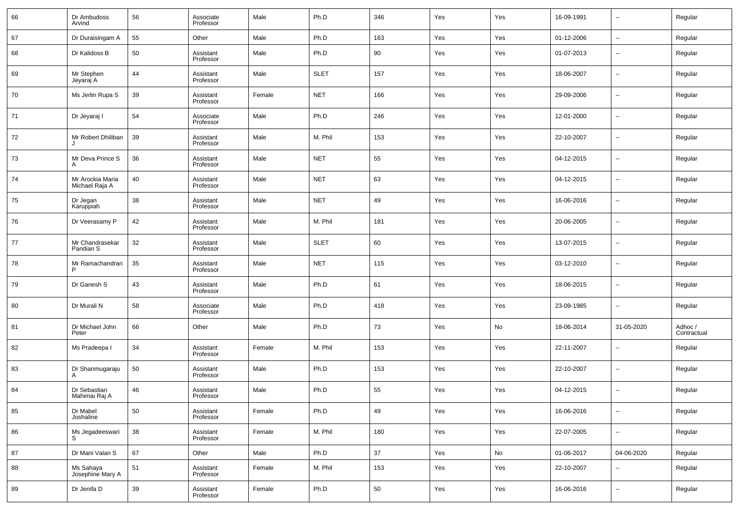| 66 | Dr Ambudoss<br>Arvind              | 56 | Associate<br>Professor | Male   | Ph.D        | 346    | Yes | Yes | 16-09-1991 | $\overline{\phantom{a}}$ | Regular                |
|----|------------------------------------|----|------------------------|--------|-------------|--------|-----|-----|------------|--------------------------|------------------------|
| 67 | Dr Duraisingam A                   | 55 | Other                  | Male   | Ph.D        | 163    | Yes | Yes | 01-12-2006 | $\overline{\phantom{a}}$ | Regular                |
| 68 | Dr Kalidoss B                      | 50 | Assistant<br>Professor | Male   | Ph.D        | 90     | Yes | Yes | 01-07-2013 | $\overline{\phantom{a}}$ | Regular                |
| 69 | Mr Stephen<br>Jeyaraj A            | 44 | Assistant<br>Professor | Male   | <b>SLET</b> | 157    | Yes | Yes | 18-06-2007 | ۰.                       | Regular                |
| 70 | Ms Jerlin Rupa S                   | 39 | Assistant<br>Professor | Female | <b>NET</b>  | 166    | Yes | Yes | 29-09-2006 | $\overline{\phantom{a}}$ | Regular                |
| 71 | Dr Jeyaraj I                       | 54 | Associate<br>Professor | Male   | Ph.D        | 246    | Yes | Yes | 12-01-2000 | ۰.                       | Regular                |
| 72 | Mr Robert Dhiliban                 | 39 | Assistant<br>Professor | Male   | M. Phil     | 153    | Yes | Yes | 22-10-2007 | $\overline{\phantom{a}}$ | Regular                |
| 73 | Mr Deva Prince S<br>А              | 36 | Assistant<br>Professor | Male   | <b>NET</b>  | 55     | Yes | Yes | 04-12-2015 | $\overline{\phantom{a}}$ | Regular                |
| 74 | Mr Arockia Maria<br>Michael Raja A | 40 | Assistant<br>Professor | Male   | <b>NET</b>  | 63     | Yes | Yes | 04-12-2015 | $\overline{\phantom{a}}$ | Regular                |
| 75 | Dr Jegan<br>Karuppiah              | 38 | Assistant<br>Professor | Male   | <b>NET</b>  | 49     | Yes | Yes | 16-06-2016 | $\overline{\phantom{a}}$ | Regular                |
| 76 | Dr Veerasamy P                     | 42 | Assistant<br>Professor | Male   | M. Phil     | 181    | Yes | Yes | 20-06-2005 | $\overline{\phantom{a}}$ | Regular                |
| 77 | Mr Chandrasekar<br>Pandian S       | 32 | Assistant<br>Professor | Male   | <b>SLET</b> | 60     | Yes | Yes | 13-07-2015 | ۰.                       | Regular                |
| 78 | Mr Ramachandran<br>P               | 35 | Assistant<br>Professor | Male   | <b>NET</b>  | 115    | Yes | Yes | 03-12-2010 | $\overline{\phantom{a}}$ | Regular                |
| 79 | Dr Ganesh S                        | 43 | Assistant<br>Professor | Male   | Ph.D        | 61     | Yes | Yes | 18-06-2015 | $\overline{\phantom{a}}$ | Regular                |
| 80 | Dr Murali N                        | 58 | Associate<br>Professor | Male   | Ph.D        | 418    | Yes | Yes | 23-09-1985 | ۰.                       | Regular                |
| 81 | Dr Michael John<br>Peter           | 66 | Other                  | Male   | Ph.D        | 73     | Yes | No  | 18-06-2014 | 31-05-2020               | Adhoc /<br>Contractual |
| 82 | Ms Pradeepa I                      | 34 | Assistant<br>Professor | Female | M. Phil     | 153    | Yes | Yes | 22-11-2007 | $\overline{\phantom{a}}$ | Regular                |
| 83 | Dr Shanmugaraju<br>Α               | 50 | Assistant<br>Professor | Male   | Ph.D        | 153    | Yes | Yes | 22-10-2007 | $\overline{\phantom{a}}$ | Regular                |
| 84 | Dr Sebastian<br>Mahimai Raj A      | 46 | Assistant<br>Professor | Male   | Ph.D        | 55     | Yes | Yes | 04-12-2015 | $\overline{\phantom{a}}$ | Regular                |
| 85 | Dr Mabel<br>Joshaline              | 50 | Assistant<br>Professor | Female | Ph.D        | 49     | Yes | Yes | 16-06-2016 | ۰.                       | Regular                |
| 86 | Ms Jegadeeswari<br>S               | 38 | Assistant<br>Professor | Female | M. Phil     | 180    | Yes | Yes | 22-07-2005 | ۰.                       | Regular                |
| 87 | Dr Mani Valan S                    | 67 | Other                  | Male   | Ph.D        | $37\,$ | Yes | No  | 01-06-2017 | 04-06-2020               | Regular                |
| 88 | Ms Sahaya<br>Josephine Mary A      | 51 | Assistant<br>Professor | Female | M. Phil     | 153    | Yes | Yes | 22-10-2007 | $\overline{\phantom{a}}$ | Regular                |
| 89 | Dr Jenifa D                        | 39 | Assistant<br>Professor | Female | Ph.D        | 50     | Yes | Yes | 16-06-2016 | $\overline{\phantom{a}}$ | Regular                |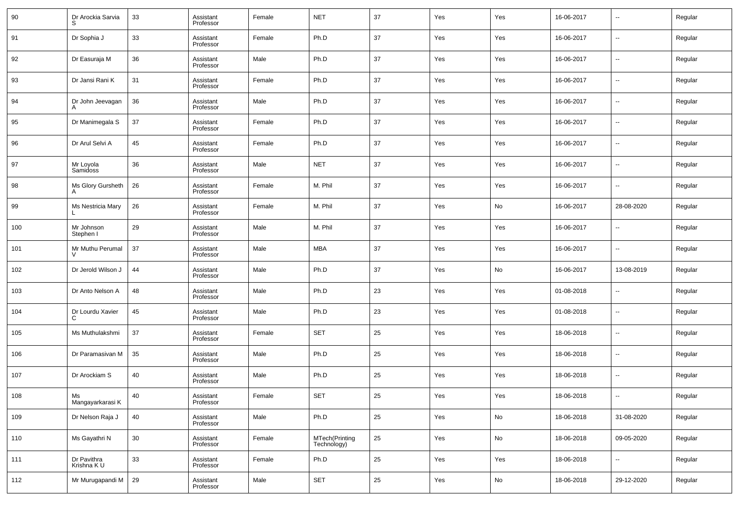| 90  | Dr Arockia Sarvia          | 33 | Assistant<br>Professor | Female | <b>NET</b>                    | 37     | Yes | Yes | 16-06-2017 | $\overline{\phantom{a}}$ | Regular |
|-----|----------------------------|----|------------------------|--------|-------------------------------|--------|-----|-----|------------|--------------------------|---------|
| 91  | Dr Sophia J                | 33 | Assistant<br>Professor | Female | Ph.D                          | 37     | Yes | Yes | 16-06-2017 | $\overline{\phantom{a}}$ | Regular |
| 92  | Dr Easuraja M              | 36 | Assistant<br>Professor | Male   | Ph.D                          | 37     | Yes | Yes | 16-06-2017 | $\overline{\phantom{a}}$ | Regular |
| 93  | Dr Jansi Rani K            | 31 | Assistant<br>Professor | Female | Ph.D                          | 37     | Yes | Yes | 16-06-2017 | $\overline{\phantom{a}}$ | Regular |
| 94  | Dr John Jeevagan           | 36 | Assistant<br>Professor | Male   | Ph.D                          | 37     | Yes | Yes | 16-06-2017 | $\overline{\phantom{a}}$ | Regular |
| 95  | Dr Manimegala S            | 37 | Assistant<br>Professor | Female | Ph.D                          | 37     | Yes | Yes | 16-06-2017 | $\overline{\phantom{a}}$ | Regular |
| 96  | Dr Arul Selvi A            | 45 | Assistant<br>Professor | Female | Ph.D                          | 37     | Yes | Yes | 16-06-2017 | $\overline{\phantom{a}}$ | Regular |
| 97  | Mr Loyola<br>Samidoss      | 36 | Assistant<br>Professor | Male   | <b>NET</b>                    | 37     | Yes | Yes | 16-06-2017 | $\overline{\phantom{a}}$ | Regular |
| 98  | Ms Glory Gursheth          | 26 | Assistant<br>Professor | Female | M. Phil                       | 37     | Yes | Yes | 16-06-2017 | $\overline{\phantom{a}}$ | Regular |
| 99  | Ms Nestricia Mary          | 26 | Assistant<br>Professor | Female | M. Phil                       | 37     | Yes | No  | 16-06-2017 | 28-08-2020               | Regular |
| 100 | Mr Johnson<br>Stephen I    | 29 | Assistant<br>Professor | Male   | M. Phil                       | 37     | Yes | Yes | 16-06-2017 | $\overline{\phantom{a}}$ | Regular |
| 101 | Mr Muthu Perumal           | 37 | Assistant<br>Professor | Male   | MBA                           | 37     | Yes | Yes | 16-06-2017 | $\overline{\phantom{a}}$ | Regular |
| 102 | Dr Jerold Wilson J         | 44 | Assistant<br>Professor | Male   | Ph.D                          | 37     | Yes | No  | 16-06-2017 | 13-08-2019               | Regular |
| 103 | Dr Anto Nelson A           | 48 | Assistant<br>Professor | Male   | Ph.D                          | 23     | Yes | Yes | 01-08-2018 | $\overline{\phantom{a}}$ | Regular |
| 104 | Dr Lourdu Xavier<br>C      | 45 | Assistant<br>Professor | Male   | Ph.D                          | 23     | Yes | Yes | 01-08-2018 | $\overline{\phantom{a}}$ | Regular |
| 105 | Ms Muthulakshmi            | 37 | Assistant<br>Professor | Female | <b>SET</b>                    | 25     | Yes | Yes | 18-06-2018 | $\overline{\phantom{a}}$ | Regular |
| 106 | Dr Paramasivan M           | 35 | Assistant<br>Professor | Male   | Ph.D                          | 25     | Yes | Yes | 18-06-2018 | $\overline{\phantom{a}}$ | Regular |
| 107 | Dr Arockiam S              | 40 | Assistant<br>Professor | Male   | Ph.D                          | 25     | Yes | Yes | 18-06-2018 | $\overline{\phantom{a}}$ | Regular |
| 108 | Ms<br>Mangayarkarasi K     | 40 | Assistant<br>Professor | Female | <b>SET</b>                    | 25     | Yes | Yes | 18-06-2018 | $\overline{\phantom{a}}$ | Regular |
| 109 | Dr Nelson Raja J           | 40 | Assistant<br>Professor | Male   | Ph.D                          | 25     | Yes | No  | 18-06-2018 | 31-08-2020               | Regular |
| 110 | Ms Gayathri N              | 30 | Assistant<br>Professor | Female | MTech(Printing<br>Technology) | $25\,$ | Yes | No  | 18-06-2018 | 09-05-2020               | Regular |
| 111 | Dr Pavithra<br>Krishna K U | 33 | Assistant<br>Professor | Female | Ph.D                          | 25     | Yes | Yes | 18-06-2018 | $\overline{\phantom{a}}$ | Regular |
| 112 | Mr Murugapandi M           | 29 | Assistant<br>Professor | Male   | SET                           | $25\,$ | Yes | No  | 18-06-2018 | 29-12-2020               | Regular |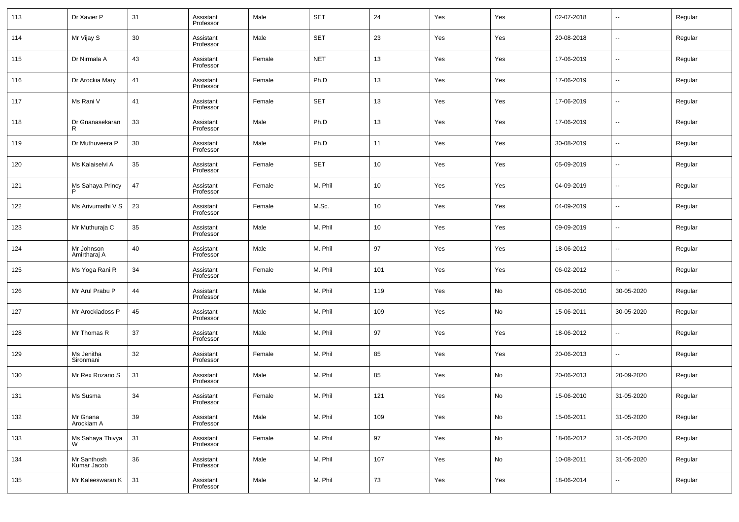| 113 | Dr Xavier P                | 31     | Assistant<br>Professor | Male   | <b>SET</b> | 24  | Yes | Yes | 02-07-2018 | $\overline{\phantom{a}}$ | Regular |
|-----|----------------------------|--------|------------------------|--------|------------|-----|-----|-----|------------|--------------------------|---------|
| 114 | Mr Vijay S                 | 30     | Assistant<br>Professor | Male   | <b>SET</b> | 23  | Yes | Yes | 20-08-2018 | $\overline{\phantom{a}}$ | Regular |
| 115 | Dr Nirmala A               | 43     | Assistant<br>Professor | Female | <b>NET</b> | 13  | Yes | Yes | 17-06-2019 | $\overline{\phantom{a}}$ | Regular |
| 116 | Dr Arockia Mary            | 41     | Assistant<br>Professor | Female | Ph.D       | 13  | Yes | Yes | 17-06-2019 | $\overline{\phantom{a}}$ | Regular |
| 117 | Ms Rani V                  | 41     | Assistant<br>Professor | Female | <b>SET</b> | 13  | Yes | Yes | 17-06-2019 | $\overline{\phantom{a}}$ | Regular |
| 118 | Dr Gnanasekaran<br>R       | 33     | Assistant<br>Professor | Male   | Ph.D       | 13  | Yes | Yes | 17-06-2019 | $\overline{\phantom{a}}$ | Regular |
| 119 | Dr Muthuveera P            | 30     | Assistant<br>Professor | Male   | Ph.D       | 11  | Yes | Yes | 30-08-2019 | $\overline{\phantom{a}}$ | Regular |
| 120 | Ms Kalaiselvi A            | 35     | Assistant<br>Professor | Female | <b>SET</b> | 10  | Yes | Yes | 05-09-2019 | $\overline{\phantom{a}}$ | Regular |
| 121 | Ms Sahaya Princy           | 47     | Assistant<br>Professor | Female | M. Phil    | 10  | Yes | Yes | 04-09-2019 | $\overline{\phantom{a}}$ | Regular |
| 122 | Ms Arivumathi V S          | 23     | Assistant<br>Professor | Female | M.Sc.      | 10  | Yes | Yes | 04-09-2019 | $\overline{\phantom{a}}$ | Regular |
| 123 | Mr Muthuraja C             | 35     | Assistant<br>Professor | Male   | M. Phil    | 10  | Yes | Yes | 09-09-2019 | $\overline{\phantom{a}}$ | Regular |
| 124 | Mr Johnson<br>Amirtharaj A | 40     | Assistant<br>Professor | Male   | M. Phil    | 97  | Yes | Yes | 18-06-2012 | $\overline{\phantom{a}}$ | Regular |
| 125 | Ms Yoga Rani R             | 34     | Assistant<br>Professor | Female | M. Phil    | 101 | Yes | Yes | 06-02-2012 | $\overline{\phantom{a}}$ | Regular |
| 126 | Mr Arul Prabu P            | 44     | Assistant<br>Professor | Male   | M. Phil    | 119 | Yes | No  | 08-06-2010 | 30-05-2020               | Regular |
| 127 | Mr Arockiadoss P           | 45     | Assistant<br>Professor | Male   | M. Phil    | 109 | Yes | No  | 15-06-2011 | 30-05-2020               | Regular |
| 128 | Mr Thomas R                | 37     | Assistant<br>Professor | Male   | M. Phil    | 97  | Yes | Yes | 18-06-2012 | $\overline{\phantom{a}}$ | Regular |
| 129 | Ms Jenitha<br>Sironmani    | 32     | Assistant<br>Professor | Female | M. Phil    | 85  | Yes | Yes | 20-06-2013 | $\overline{\phantom{a}}$ | Regular |
| 130 | Mr Rex Rozario S           | 31     | Assistant<br>Professor | Male   | M. Phil    | 85  | Yes | No  | 20-06-2013 | 20-09-2020               | Regular |
| 131 | Ms Susma                   | 34     | Assistant<br>Professor | Female | M. Phil    | 121 | Yes | No  | 15-06-2010 | 31-05-2020               | Regular |
| 132 | Mr Gnana<br>Arockiam A     | $39\,$ | Assistant<br>Professor | Male   | M. Phil    | 109 | Yes | No  | 15-06-2011 | 31-05-2020               | Regular |
| 133 | Ms Sahaya Thivya<br>W      | 31     | Assistant<br>Professor | Female | M. Phil    | 97  | Yes | No  | 18-06-2012 | 31-05-2020               | Regular |
| 134 | Mr Santhosh<br>Kumar Jacob | 36     | Assistant<br>Professor | Male   | M. Phil    | 107 | Yes | No  | 10-08-2011 | 31-05-2020               | Regular |
| 135 | Mr Kaleeswaran K           | 31     | Assistant<br>Professor | Male   | M. Phil    | 73  | Yes | Yes | 18-06-2014 | $\overline{\phantom{a}}$ | Regular |